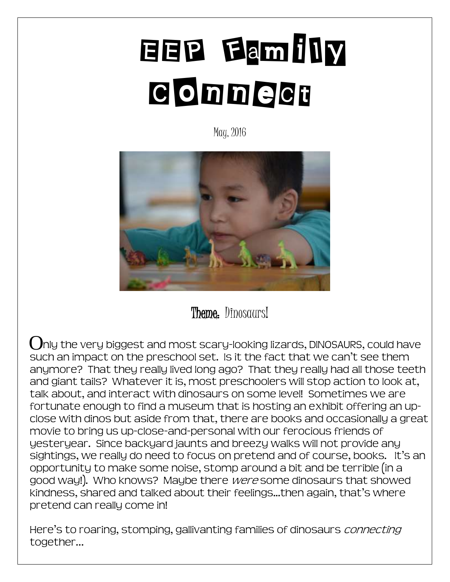# EEP Family **Connect**

May, 2016



Theme. Dinosaurs!

 $\bigcap$ nly the very biggest and most scary-looking lizards, DINOSAURS, could have such an impact on the preschool set. Is it the fact that we can't see them anymore? That they really lived long ago? That they really had all those teeth and giant tails? Whatever it is, most preschoolers will stop action to look at, talk about, and interact with dinosaurs on some level! Sometimes we are fortunate enough to find a museum that is hosting an exhibit offering an upclose with dinos but aside from that, there are books and occasionally a great movie to bring us up-close-and-personal with our ferocious friends of yesteryear. Since backyard jaunts and breezy walks will not provide any sightings, we really do need to focus on pretend and of course, books. It's an opportunity to make some noise, stomp around a bit and be terrible (in a good way!). Who knows? Maybe there were some dinosaurs that showed kindness, shared and talked about their feelings...then again, that's where pretend can really come in!

Here's to roaring, stomping, gallivanting families of dinosaurs *connecting* together…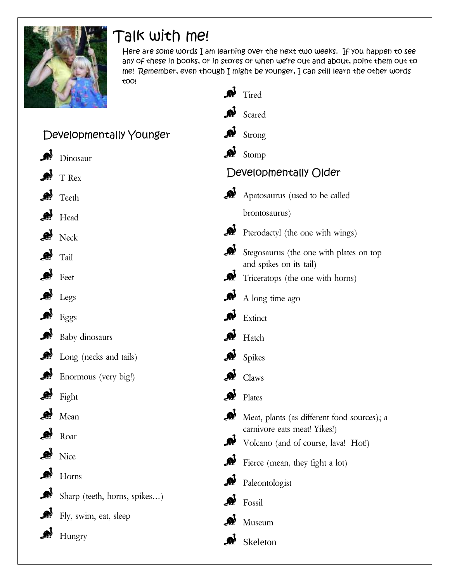

## Talk with me!

Here are some words I am learning over the next two weeks. If you happen to see any of these in books, or in stores or when we're out and about, point them out to me! Remember, even though I might be younger, I can still learn the other words too!

|                              |                              | لأجر         | Tired                                                                       |
|------------------------------|------------------------------|--------------|-----------------------------------------------------------------------------|
|                              |                              | <b>A</b>     | Scared                                                                      |
| A<br>Developmentally Younger |                              |              | Strong                                                                      |
|                              | Dinosaur                     | $\mathbb{R}$ | Stomp                                                                       |
|                              | T Rex                        |              | Developmentally Older                                                       |
|                              | Teeth                        | A            | Apatosaurus (used to be called                                              |
| $\mathbf{A}$                 | Head                         |              | brontosaurus)                                                               |
| A                            | Neck                         | A            | Pterodactyl (the one with wings)                                            |
| <b>A</b>                     | Tail                         | A            | Stegosaurus (the one with plates on top<br>and spikes on its tail)          |
| A                            | Feet                         | A            | Triceratops (the one with horns)                                            |
| A                            | Legs                         | A            | A long time ago                                                             |
| A                            | Eggs                         | A            | Extinct                                                                     |
| <b>A</b>                     | Baby dinosaurs               | <b>A</b>     | Hatch                                                                       |
| <b>A</b>                     | Long (necks and tails)       | A            | Spikes                                                                      |
| <b>A</b>                     | Enormous (very big!)         | A            | Claws                                                                       |
|                              | Fight                        | A            | Plates                                                                      |
| A                            | Mean                         | A            | Meat, plants (as different food sources); a<br>carnivore eats meat! Yikes!) |
|                              | Roar                         | A            | Volcano (and of course, lava! Hot!)                                         |
|                              | Nice                         | <b>A</b>     | Fierce (mean, they fight a lot)                                             |
|                              | Horns                        | <b>A</b>     | Paleontologist                                                              |
| A                            | Sharp (teeth, horns, spikes) | <b>A</b>     | Fossil                                                                      |
|                              | Fly, swim, eat, sleep        | A            | Museum                                                                      |
|                              | Hungry                       | A            | Skeleton                                                                    |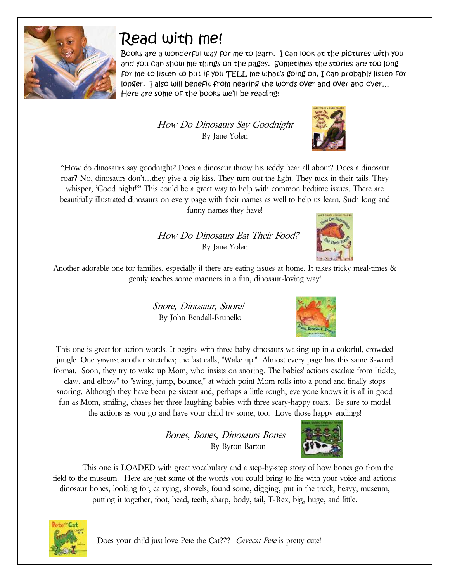

## Read with me!

Books are a wonderful way for me to learn. I can look at the pictures with you and you can show me things on the pages. Sometimes the stories are too long for me to listen to but if you TELL me what's going on, I can probably listen for longer. I also will benefit from hearing the words over and over and over… Here are some of the books we'll be reading:

> How Do Dinosaurs Say Goodnight By Jane Yolen



"How do dinosaurs say goodnight? Does a dinosaur throw his teddy bear all about? Does a dinosaur roar? No, dinosaurs don't…they give a big kiss. They turn out the light. They tuck in their tails. They whisper, 'Good night!'" This could be a great way to help with common bedtime issues. There are beautifully illustrated dinosaurs on every page with their names as well to help us learn. Such long and funny names they have!

> How Do Dinosaurs Eat Their Food? By Jane Yolen



Another adorable one for families, especially if there are eating issues at home. It takes tricky meal-times & gently teaches some manners in a fun, dinosaur-loving way!

> Snore, Dinosaur, Snore! By John Bendall-Brunello



Bones, Bones, Dinosaurs Bones By Byron Barton





Does your child just love Pete the Cat??? *Cavecat Pete* is pretty cute!

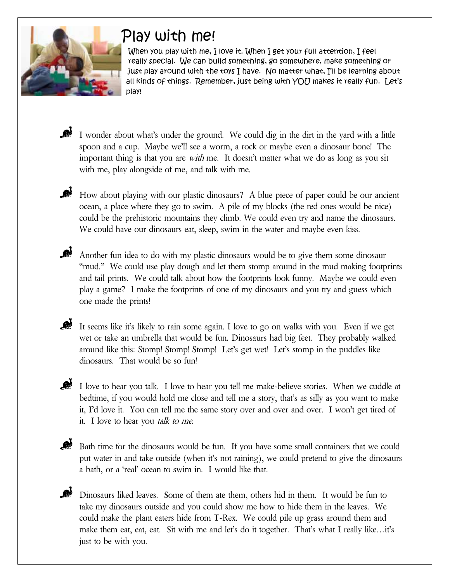

## Play with me!

When you play with me, I love it. When I get your full attention, I feel really special. We can build something, go somewhere, make something or just play around with the toys I have. No matter what, I'll be learning about all kinds of things. Remember, just being with YOU makes it really fun. Let's play!

I wonder about what's under the ground. We could dig in the dirt in the yard with a little spoon and a cup. Maybe we'll see a worm, a rock or maybe even a dinosaur bone! The important thing is that you are with me. It doesn't matter what we do as long as you sit with me, play alongside of me, and talk with me.

How about playing with our plastic dinosaurs? A blue piece of paper could be our ancient ocean, a place where they go to swim. A pile of my blocks (the red ones would be nice) could be the prehistoric mountains they climb. We could even try and name the dinosaurs. We could have our dinosaurs eat, sleep, swim in the water and maybe even kiss.

Another fun idea to do with my plastic dinosaurs would be to give them some dinosaur "mud." We could use play dough and let them stomp around in the mud making footprints and tail prints. We could talk about how the footprints look funny. Maybe we could even play a game? I make the footprints of one of my dinosaurs and you try and guess which one made the prints!

It seems like it's likely to rain some again. I love to go on walks with you. Even if we get wet or take an umbrella that would be fun. Dinosaurs had big feet. They probably walked around like this: Stomp! Stomp! Stomp! Let's get wet! Let's stomp in the puddles like dinosaurs. That would be so fun!

I love to hear you talk. I love to hear you tell me make-believe stories. When we cuddle at bedtime, if you would hold me close and tell me a story, that's as silly as you want to make it, I'd love it. You can tell me the same story over and over and over. I won't get tired of it. I love to hear you talk to me.

Bath time for the dinosaurs would be fun. If you have some small containers that we could put water in and take outside (when it's not raining), we could pretend to give the dinosaurs a bath, or a 'real' ocean to swim in. I would like that.

Dinosaurs liked leaves. Some of them ate them, others hid in them. It would be fun to take my dinosaurs outside and you could show me how to hide them in the leaves. We could make the plant eaters hide from T-Rex. We could pile up grass around them and make them eat, eat, eat. Sit with me and let's do it together. That's what I really like…it's just to be with you.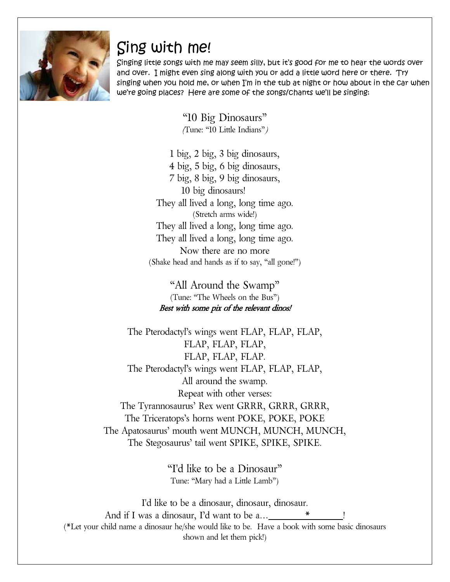

#### Sing with me!

Singing little songs with me may seem silly, but it's good for me to hear the words over and over. I might even sing along with you or add a little word here or there. Try singing when you hold me, or when I'm in the tub at night or how about in the car when we're going places? Here are some of the songs/chants we'll be singing:

> "10 Big Dinosaurs" (Tune: "10 Little Indians")

1 big, 2 big, 3 big dinosaurs, 4 big, 5 big, 6 big dinosaurs, 7 big, 8 big, 9 big dinosaurs, 10 big dinosaurs! They all lived a long, long time ago. (Stretch arms wide!) They all lived a long, long time ago. They all lived a long, long time ago. Now there are no more (Shake head and hands as if to say, "all gone!")

"All Around the Swamp" (Tune: "The Wheels on the Bus") Best with some pix of the relevant dinos!

The Pterodactyl's wings went FLAP, FLAP, FLAP, FLAP, FLAP, FLAP, FLAP, FLAP, FLAP. The Pterodactyl's wings went FLAP, FLAP, FLAP, All around the swamp. Repeat with other verses: The Tyrannosaurus' Rex went GRRR, GRRR, GRRR, The Triceratops's horns went POKE, POKE, POKE The Apatosaurus' mouth went MUNCH, MUNCH, MUNCH, The Stegosaurus' tail went SPIKE, SPIKE, SPIKE.

> "I'd like to be a Dinosaur" Tune: "Mary had a Little Lamb")

I'd like to be a dinosaur, dinosaur, dinosaur. And if I was a dinosaur, I'd want to be a...\_\_ (\*Let your child name a dinosaur he/she would like to be. Have a book with some basic dinosaurs shown and let them pick!)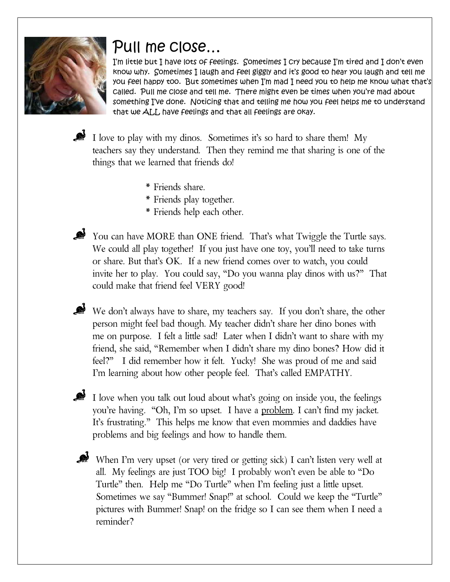

#### Pull me close…

I'm little but I have lots of feelings. Sometimes I cry because I'm tired and I don't even know why. Sometimes I laugh and feel giggly and it's good to hear you laugh and tell me you feel happy too. But sometimes when I'm mad I need you to help me know what that's called. Pull me close and tell me. There might even be times when you're mad about something I've done. Noticing that and telling me how you feel helps me to understand that we ALL have feelings and that all feelings are okay.

I love to play with my dinos. Sometimes it's so hard to share them! My teachers say they understand. Then they remind me that sharing is one of the things that we learned that friends do!

- \* Friends share.
- \* Friends play together.
- \* Friends help each other.

You can have MORE than ONE friend. That's what Twiggle the Turtle says. We could all play together! If you just have one toy, you'll need to take turns or share. But that's OK. If a new friend comes over to watch, you could invite her to play. You could say, "Do you wanna play dinos with us?" That could make that friend feel VERY good!

We don't always have to share, my teachers say. If you don't share, the other person might feel bad though. My teacher didn't share her dino bones with me on purpose. I felt a little sad! Later when I didn't want to share with my friend, she said, "Remember when I didn't share my dino bones? How did it feel?" I did remember how it felt. Yucky! She was proud of me and said I'm learning about how other people feel. That's called EMPATHY.

I love when you talk out loud about what's going on inside you, the feelings you're having. "Oh, I'm so upset. I have a problem. I can't find my jacket. It's frustrating." This helps me know that even mommies and daddies have problems and big feelings and how to handle them.

When I'm very upset (or very tired or getting sick) I can't listen very well at all. My feelings are just TOO big! I probably won't even be able to "Do Turtle" then. Help me "Do Turtle" when I'm feeling just a little upset. Sometimes we say "Bummer! Snap!" at school. Could we keep the "Turtle" pictures with Bummer! Snap! on the fridge so I can see them when I need a reminder?